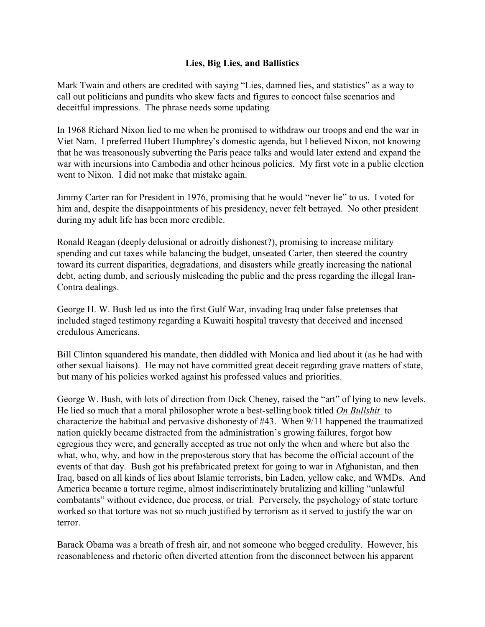## **Lies, Big Lies, and Ballistics**

Mark Twain and others are credited with saying "Lies, damned lies, and statistics" as a way to call out politicians and pundits who skew facts and figures to concoct false scenarios and deceitful impressions. The phrase needs some updating.

In 1968 Richard Nixon lied to me when he promised to withdraw our troops and end the war in Viet Nam. I preferred Hubert Humphrey's domestic agenda, but I believed Nixon, not knowing that he was treasonously subverting the Paris peace talks and would later extend and expand the war with incursions into Cambodia and other heinous policies. My first vote in a public election went to Nixon. I did not make that mistake again.

Jimmy Carter ran for President in 1976, promising that he would "never lie" to us. I voted for him and, despite the disappointments of his presidency, never felt betrayed. No other president during my adult life has been more credible.

Ronald Reagan (deeply delusional or adroitly dishonest?), promising to increase military spending and cut taxes while balancing the budget, unseated Carter, then steered the country toward its current disparities, degradations, and disasters while greatly increasing the national debt, acting dumb, and seriously misleading the public and the press regarding the illegal Iran-Contra dealings.

George H. W. Bush led us into the first Gulf War, invading Iraq under false pretenses that included staged testimony regarding a Kuwaiti hospital travesty that deceived and incensed credulous Americans.

Bill Clinton squandered his mandate, then diddled with Monica and lied about it (as he had with other sexual liaisons). He may not have committed great deceit regarding grave matters of state, but many of his policies worked against his professed values and priorities.

George W. Bush, with lots of direction from Dick Cheney, raised the "art" of lying to new levels. He lied so much that a moral philosopher wrote a best-selling book titled *On Bullshit* to characterize the habitual and pervasive dishonesty of #43. When 9/11 happened the traumatized nation quickly became distracted from the administration's growing failures, forgot how egregious they were, and generally accepted as true not only the when and where but also the what, who, why, and how in the preposterous story that has become the official account of the events of that day. Bush got his prefabricated pretext for going to war in Afghanistan, and then Iraq, based on all kinds of lies about Islamic terrorists, bin Laden, yellow cake, and WMDs. And America became a torture regime, almost indiscriminately brutalizing and killing "unlawful combatants" without evidence, due process, or trial. Perversely, the psychology of state torture worked so that torture was not so much justified by terrorism as it served to justify the war on terror.

Barack Obama was a breath of fresh air, and not someone who begged credulity. However, his reasonableness and rhetoric often diverted attention from the disconnect between his apparent